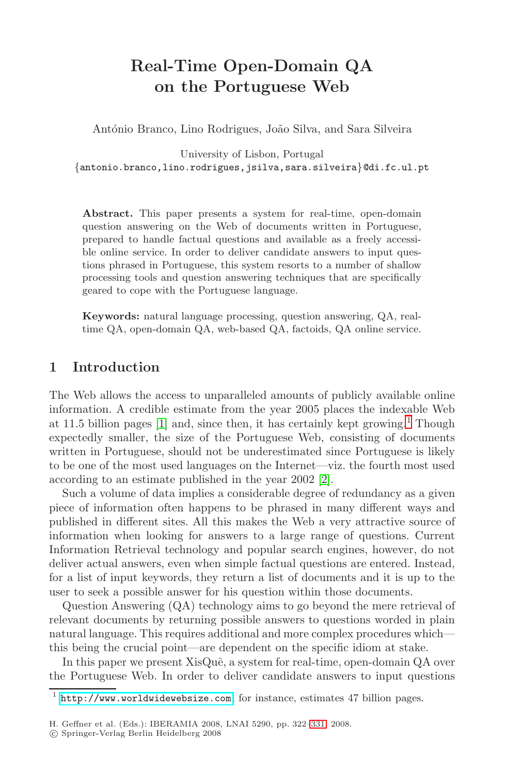# **Real-Time Open-Domain QA on the Portuguese Web**

António Branco, Lino Rodrigues, João Silva, and Sara Silveira

University of Lisbon, Portugal {antonio.branco,lino.rodrigues,jsilva,sara.silveira}@di.fc.ul.pt

**Abstract.** This paper presents a system for real-time, open-domain question answering on the Web of documents written in Portuguese, prepared to handle factual questions and available as a freely accessible online service. In order to deliver candidate answers to input questions phrased in Portuguese, this system resorts to a number of shallow processing tools and question answering techniques that are specifically geared to cope with the Portuguese language.

**Keywords:** natural language processing, quest[ion](#page-0-0) answering, QA, realtime QA, open-domain QA, web-based QA, factoids, QA online service.

# **1 Introduction**

The Web allows the access to unparalleled amounts of publicly available online information. A credible estimate from the year 2005 places the indexable Web at 11.5 billion pages [1] and, since then, it has certainly kept growing.<sup>1</sup> Though expectedly smaller, the size of the Portuguese Web, consisting of documents written in Portuguese, should not be underestimated since Portuguese is likely to be one of the most used languages on the Internet—viz. the fourth most used according to an estimate published in the year 2002 [2].

Such a volume of data implies a considerable degree of redundancy as a given piece of information often happens to be phrased in many different ways and published in different sites. All this makes the Web a very attractive source of information when looking for answers to a large range of questions. Current Information Retrieval technology and popular search engines, however, do not deliver actual answers, even when simple factual questions are entered. Instead, for a list of input keywords, they return a list of documents and it is up to the [user to seek a pos](http://www.worldwidewebsize.com)sible answer for his question within those documents.

<span id="page-0-0"></span>Question Answering (QA) technology aims to go beyond the mere retrieval of relevant documents by returnin[g](#page-9-0) [po](#page-9-0)ssible answers to questions worded in plain natural language. This requires additional and more complex procedures which this being the crucial point—are dependent on the specific idiom at stake.

In this paper we present XisQuê, a system for real-time, open-domain QA over the Portuguese Web. In order to deliver candidate answers to input questions

 $1$  http://www.worldwidewebsize.com, for instance, estimates 47 billion pages.

H. Geffner et al. (Eds.): IBERAMIA 2008, LNAI 5290, pp. 322–331, 2008.

<sup>-</sup>c Springer-Verlag Berlin Heidelberg 2008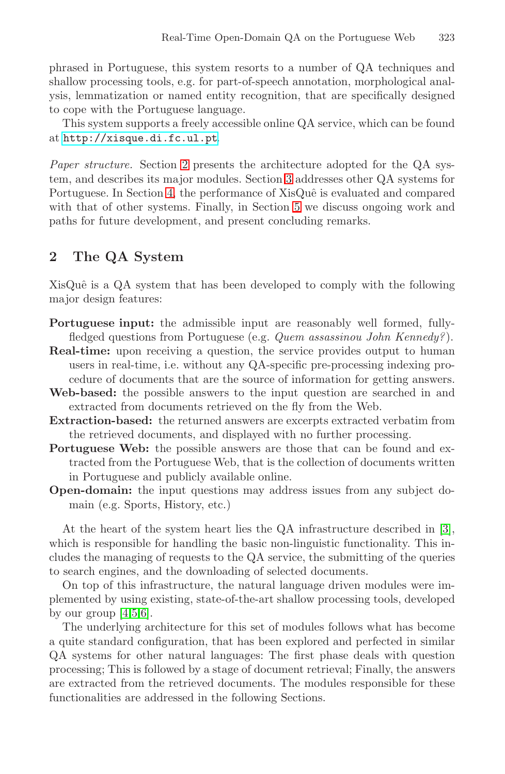phrased in Portuguese, thi[s s](#page-6-0)ystem resorts to a number of QA techniques and sha[llo](#page-6-1)w processing tools, e.g. for part-of-speech annotation, morphological analysis, lemmatization or name[d](#page-8-0) entity recognition, that are specifically designed to cope with the Portuguese language.

This system supports a freely accessible online QA service, which can be found at http://xisque.di.fc.ul.pt.

Paper structure. Section 2 presents the architecture adopted for the QA system, and describes its major modules. Section 3 addresses other QA systems for Portuguese. In Section 4, the performance of XisQuê is evaluated and compared with that of other systems. Finally, in Section 5 we discuss ongoing work and paths for future development, and present concluding remarks.

# **2 The QA System**

XisQuê is a QA system that has been developed to comply with the following major design features:

- **Portuguese input:** the admissible input are reasonably well formed, fullyfledged questions from Portuguese (e.g. Quem assassinou John Kennedy?).
- **Real-time:** upon receiving a question, the service provides output to human users in real-time, i.e. without any QA-specific pre-processing indexing procedure of documents that are the source of information for getting answers.
- **Web-based:** the possible answers to the input question are searched in and extracted from documents retrieved on the fly from the Web.
- **Extraction-based:** the returned answers are excerpts ex[tra](#page-9-1)cted verbatim from the retrieved documents, and displayed with no further processing.
- **Portuguese Web:** the possible answers are those that can be found and extracted from the Portuguese Web, that is the collection of documents written in Portuguese and publicly available online.
- **Open-domain:** the input questions may address issues from any subject domain (e.g. Sports, History, etc.)

At the heart of the system heart lies the QA infrastructure described in [3], which is responsible for handling the basic non-linguistic functionality. This includes the managing of requests to the QA service, the submitting of the queries to search engines, and the downloading of selected documents.

On top of this infrastructure, the natural language driven modules were implemented by using existing, state-of-the-art shallow processing tools, developed by our group  $[4,5,6]$ .

The underlying architecture for this set of modules follows what has become a quite standard configuration, that has been explored and perfected in similar QA systems for other natural languages: The first phase deals with question processing; This is followed by a stage of document retrieval; Finally, the answers are extracted from the retrieved documents. The modules responsible for these functionalities are addressed in the following Sections.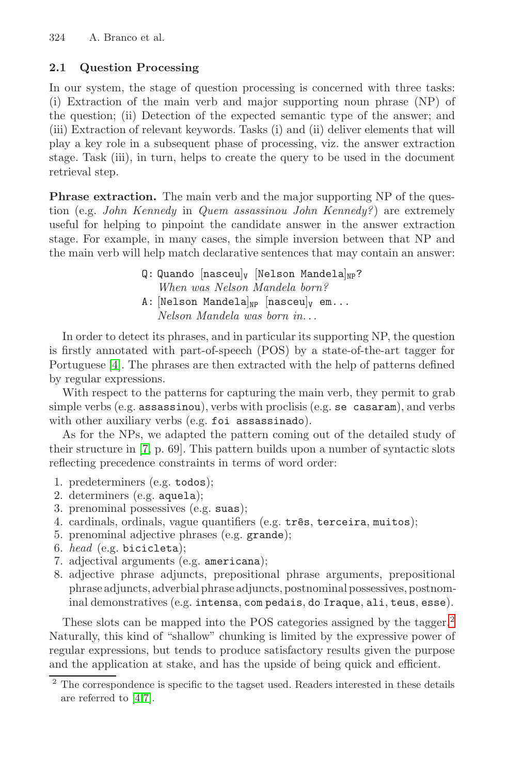324 A. Branco et al.

#### **2.1 Question Processing**

In our system, the stage of question processing is concerned with three tasks: (i) Extraction of the main verb and major supporting noun phrase (NP) of the question; (ii) Detection of the expected semantic type of the answer; and (iii) Extraction of relevant keywords. Tasks (i) and (ii) deliver elements that will play a key role in a subsequent phase of processing, viz. the answer extraction stage. Task (iii), in turn, helps to create the query to be used in the document retrieval step.

**Phrase extraction.** The main verb and the major supporting NP of the question (e.g. John Kennedy in Quem assassinou John Kennedy?) are extremely useful for helping to pinpoint the candidate answer in the answer extraction stage. For example, in many cases, the simple inversion between that NP and the main verb will help match declarative sentences that may contain an answer:

> $Q:$  Quando [nasceu]<sub>V</sub> [Nelson Mandela]<sub>NP</sub>? When was Nelson Mandela born? A:  $[NeIson Mandela]_{NP}$   $[nasceu]_{V}$  em... Nelson Mandela was born in. . .

In order to detect its phrases, and in particular its supporting NP, the question [i](#page-9-2)s firstly annotated with part-of-speech (POS) by a state-of-the-art tagger for Portuguese [4]. The phrases are then extracted with the help of patterns defined by regular expressions.

With respect to the patterns for capturing the main verb, they permit to grab simple verbs (e.g. assassinou), verbs with proclisis (e.g. se casaram), and verbs with other auxiliary verbs (e.g. foi assassinado).

As for the NPs, we adapted the pattern coming out of the detailed study of their structure in [7, p. 69]. This pattern builds upon a number of syntactic slots reflecting precedence constraints in terms of word order:

- 1. predeterminers (e.g. todos);
- 2. determiners (e.g. aquela);
- 3. prenominal possessives (e.g. suas);
- 4. cardinals, ordinals, vague quantifiers (e.g. três, terce[ir](#page-2-0)a, muitos);
- 5. prenominal adjective phrases (e.g. grande);
- 6. head (e.g. bicicleta);
- 7. adjectival arguments (e.g. americana);
- 8. adjective phrase adjuncts, prepositional phrase arguments, prepositional phraseadjuncts,adverbialphraseadjuncts,postnominalpossessives,postnominal demonstratives (e.g. intensa, com pedais, do Iraque, ali, teus, esse).

<span id="page-2-0"></span>These slots can be mapped into the POS categories assigned by the tagger.<sup>2</sup> Naturally, this kind of "shallow" chunking is limited by the expressive power of regular expressions, but tends to produce satisfactory results given the purpose and the application at stake, and has the upside of being quick and efficient.

<sup>2</sup> The correspondence is specific to the tagset used. Readers interested in these details are referred to [4,7].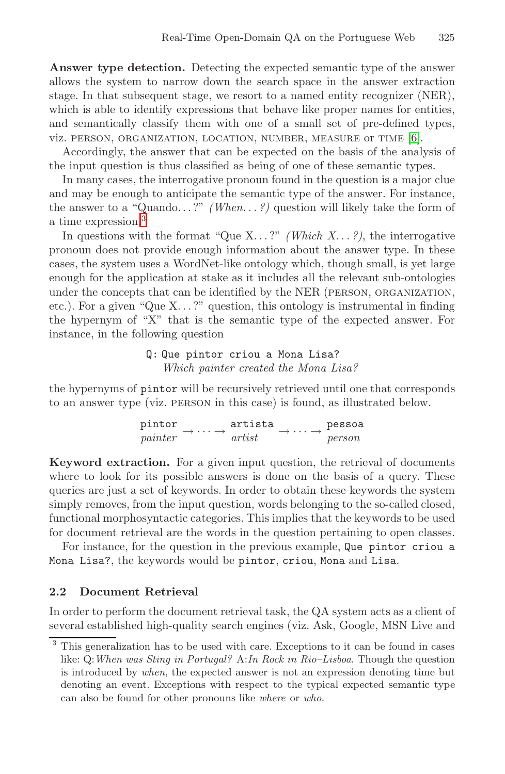**Answer type detection.** Detecting the expected semantic type of the answer allows the system to narrow down the search space in the answer extraction stage. In that subsequent stage, we resort to a named entity recognizer (NER), [w](#page-3-0)hich is able to identify expressions that behave like proper names for entities, and semantically classify them with one of a small set of pre-defined types, viz. person, organization, location, number, measure or time [6].

Accordingly, the answer that can be expected on the basis of the analysis of the input question is thus classified as being of one of these semantic types.

In many cases, the interrogative pronoun found in the question is a major clue and may be enough to anticipate the semantic type of the answer. For instance, the answer to a "Quando...?" (When...?) question will likely take the form of a time expression.<sup>3</sup>

In questions with the format "Que X...?" (Which X...?), the interrogative pronoun does not provide enough information about the answer type. In these cases, the system uses a WordNet-like ontology which, though small, is yet large enough for the application at stake as it includes all the relevant sub-ontologies under the concepts that can be identified by the NER (person, organization, etc.). For a given "Que X. . .?" question, this ontology is instrumental in finding the hypernym of "X" that is the semantic type of the expected answer. For instance, in the following question

> Q: Que pintor criou a Mona Lisa? Which painter created the Mona Lisa?

the hypernyms of pintor will be recursively retrieved until one that corresponds to an answer type (viz. person in this case) is found, as illustrated below.

| pintor<br>$\longrightarrow \cdots \longrightarrow$ | artista<br>$\longrightarrow \cdots \longrightarrow$ | pessoa |
|----------------------------------------------------|-----------------------------------------------------|--------|
| painter                                            | artist                                              | person |

**Keyword extraction.** For a given input question, the retrieval of documents where to look for its possible answers is done on the basis of a query. These queries are just a set of keywords. In order to obtain these keywords the system simply removes, from the input question, words belonging to the so-called closed, functional morphosyntactic categories. This implies that the keywords to be used for document retrieval are the words in the question pertaining to open classes.

<span id="page-3-0"></span>For instance, for the question in the previous example, Que pintor criou a Mona Lisa?, the keywords would be pintor, criou, Mona and Lisa.

#### **2.2 Document Retrieval**

In order to perform the document retrieval task, the QA system acts as a client of several established high-quality search engines (viz. Ask, Google, MSN Live and

<sup>3</sup> This generalization has to be used with care. Exceptions to it can be found in cases like: Q:When was Sting in Portugal? A:In Rock in Rio–Lisboa. Though the question is introduced by when, the expected answer is not an expression denoting time but denoting an event. Exceptions with respect to the typical expected semantic type can also be found for other pronouns like where or who.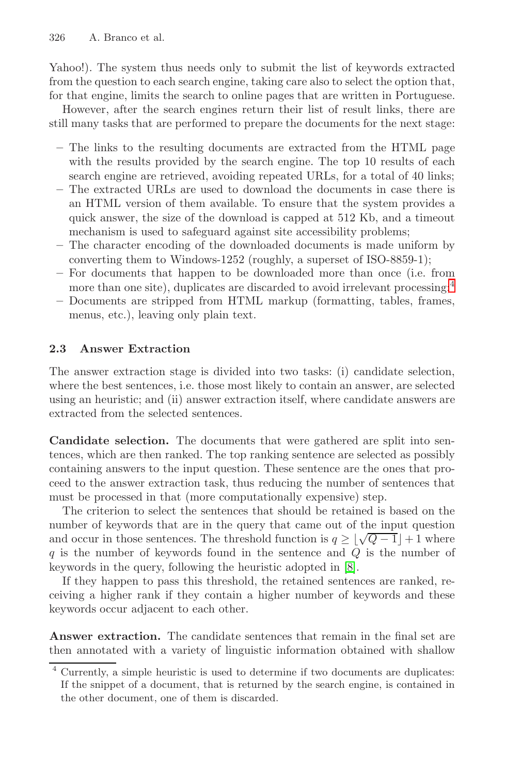326 A. Branco et al.

Yahoo!). The system thus needs only to submit the list of keywords extracted from the question to each search engine, taking care also to select the option that, for that engine, limits the search to online pages that are written in Portuguese.

However, after the search engines return their list of result links, there are still many tasks that are performed to prepare the documents for the next stage:

- **–** The links to the resulting documents are extracted from the HTML page with the results provided by the search engine. The top 10 results of each search engine are retrieved, avoiding repeated URLs, f[or](#page-4-0) a total of 40 links;
- **–** The extracted URLs are used to download the documents in case there is an HTML version of them available. To ensure that the system provides a quick answer, the size of the download is capped at 512 Kb, and a timeout mechanism is used to safeguard against site accessibility problems;
- **–** The character encoding of the downloaded documents is made uniform by converting them to Windows-1252 (roughly, a superset of ISO-8859-1);
- **–** For documents that happen to be downloaded more than once (i.e. from more than one site), duplicates are discarded to avoid irrelevant processing;<sup>4</sup>
- **–** Documents are stripped from HTML markup (formatting, tables, frames, menus, etc.), leaving only plain text.

#### **2.3 Answer Extraction**

The answer extraction stage is divided into two tasks: (i) candidate selection, where the best sentences, i.e. those most likely to contain an answer, are selected using an heuristic; and (ii) answer extraction itself, where candidate answers are extracted from the selected sentences.

**Candidate selection.** The documents that were gathered are split into sentences, which are then ranked. The top [ra](#page-9-4)nking sentence are selected as possibly containing answers to the input question. These sentence are the ones that proceed to the answer extraction task, thus reducing the number of sentences that must be processed in that (more computationally expensive) step.

The criterion to select the sentences that should be retained is based on the number of keywords that are in the query that came out of the input question and occur in those sentences. The threshold function is  $q \geq \lfloor \sqrt{Q-1} \rfloor + 1$  where  $q$  is the number of keywords found in the sentence and  $Q$  is the number of keywords in the query, following the heuristic adopted in [8].

<span id="page-4-0"></span>If they happen to pass this threshold, the retained sentences are ranked, receiving a higher rank if they contain a higher number of keywords and these keywords occur adjacent to each other.

**Answer extraction.** The candidate sentences that remain in the final set are then annotated with a variety of linguistic information obtained with shallow

<sup>4</sup> Currently, a simple heuristic is used to determine if two documents are duplicates: If the snippet of a document, that is returned by the search engine, is contained in the other document, one of them is discarded.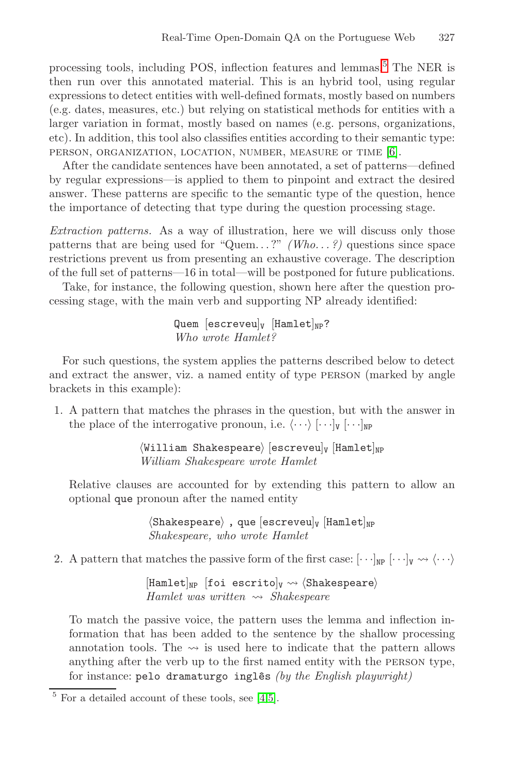processing tools, including POS, inflection features and lemmas.<sup>5</sup> The NER is then run over this annotated material. This is an hybrid tool, using regular expressions to detect entities with well-defined formats, mostly based on numbers (e.g. dates, measures, etc.) but relying on statistical methods for entities with a larger variation in format, mostly based on names (e.g. persons, organizations, etc). In addition, this tool also classifies entities according to their semantic type: person, organization, location, number, measure or time [6].

After the candidate sentences have been annotated, a set of patterns—defined by regular expressions—is applied to them to pinpoint and extract the desired answer. These patterns are specific to the semantic type of the question, hence the importance of detecting that type during the question processing stage.

Extraction patterns. As a way of illustration, here we will discuss only those patterns that are being used for "Quem...?" (Who...?) questions since space restrictions prevent us from presenting an exhaustive coverage. The description of the full set of patterns—16 in total—will be postponed for future publications.

Take, for instance, the following question, shown here after the question processing stage, with the main verb and supporting NP already identified:

> Quem  $[escreveu]_V$   $[Hamlet]_{NP}$ ? Who wrote Hamlet?

For such questions, the system applies the patterns described below to detect and extract the answer, viz. a named entity of type person (marked by angle brackets in this example):

1. A pattern that matches the phrases in the question, but with the answer in the place of the interrogative pronoun, i.e.  $\langle \cdots \rangle$   $[\cdots]_{\tt V}$   $[\cdots]_{\tt NP}$ 

> $\langle$ William Shakespeare $\rangle$  [escreveu]<sub>V</sub> [Hamlet]<sub>NP</sub> William Shakespeare wrote Hamlet

Relative clauses are accounted for by extending this pattern to allow an optional que pronoun after the named entity

> $\langle$ Shakespeare $\rangle$ , que  $[$ escreveu $]_V$   $[$ Hamlet $]_{NP}$ Shakespeare, who wrote Hamlet

2. A pattern that matches the passive form of the first case:  $[\cdots]_{NP}$   $[\cdots]_{V} \rightsquigarrow \langle \cdots \rangle$ 

 $[\mathtt{Hamlet}]_\mathtt{NP}$  $[\mathtt{Hamlet}]_\mathtt{NP}$  $[\mathtt{Hamlet}]_\mathtt{NP}$  $[\mathtt{Hamlet}]_\mathtt{NP}$  $[\mathtt{Hamlet}]_\mathtt{NP}$   $[\mathtt{foi}\;$  escrito $]_\mathtt{V} \leadsto \langle \mathtt{Shakespeace}\rangle$  $Hamlet$  was written  $\leadsto$  Shakespeare

To match the passive voice, the pattern uses the lemma and inflection information that has been added to the sentence by the shallow processing annotation tools. The  $\leadsto$  is used here to indicate that the pattern allows anything after the verb up to the first named entity with the person type, for instance: pelo dramaturgo inglês (by the English playwright)

 $5$  For a detailed account of these tools, see [4,5].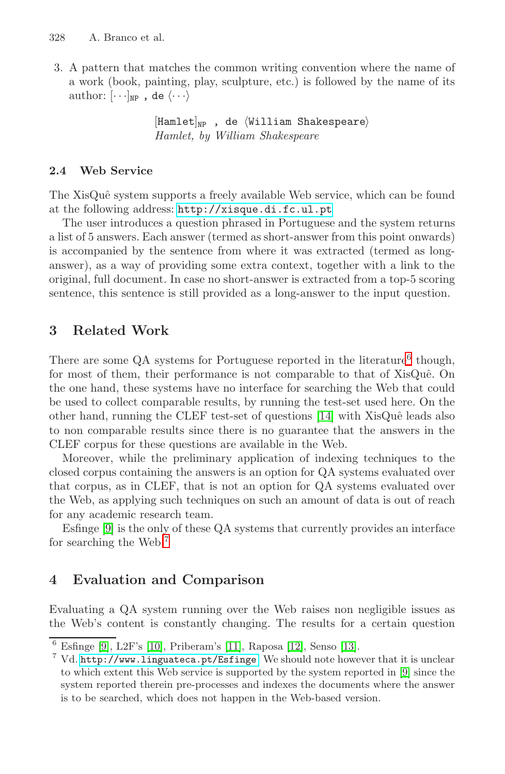328 A. Branco et al.

3. A pattern that matches the common writing convention where the name of a work (book, painting, play, sculpture, etc.) is followed by the name of its author:  $[\cdots]_{NP}$ , de  $\langle \cdots \rangle$ 

> $[{\tt Hamlet}]_{\tt NP}$  , de  $\langle{\tt William\ Shakespeare}\rangle$ Hamlet, by William Shakespeare

## **2.4 Web Service**

<span id="page-6-0"></span>The XisQuê system supports a freely available Web service, which can be found at the following address: http://xisque.di.fc.ul.pt

The user introduces a question phrased in Portuguese and the system returns a list of 5 answers. Each answer (termed as short-answer from this point onwards) is accompanied by the sentence from where it wa[s](#page-6-2) extracted (termed as longanswer), as a way of providing some extra context, together with a link to the original, full document. In case no short-answer is extracted from a top-5 scoring sentence, this sentence is still provided as a long-answer to the input question.

# **3 Related Work**

There are some  $QA$  systems for Portuguese reported in the literature<sup>6</sup> though, for most of them, their performance is not comparable to that of  $XiQu\hat{e}$ . On the one hand, these systems have no interface for searching the Web that could be used to collect comparable results, by running the test-set used here. On the other hand, running the CLEF test-set of questions [14] with XisQuê leads also to [no](#page-6-3)n comparable results since there is no guarantee that the answers in the CLEF corpus for these questions are available in the Web.

<span id="page-6-1"></span>Moreover, while the preliminary application of indexing techniques to the closed corpus containing the answers is an option for QA systems evaluated over that corpus, as in CLEF, that is not an option for QA systems evaluated over the Web, as applying such techniques on such an amount of data is out of reach for any academic research team.

<span id="page-6-2"></span>Esfinge [9] is the only of t[hes](#page-9-9)e QA sy[ste](#page-9-10)ms that currently provides an interface [for](#page-9-7) [searching](http://www.linguateca.pt/Esfinge) [th](http://www.linguateca.pt/Esfinge)[e](#page-9-8) [Web.](http://www.linguateca.pt/Esfinge)<sup>7</sup>

# <span id="page-6-3"></span>**4 Evaluation and Comparison**

Evaluating a QA system running over the Web raises non negligible issues as the Web's content is constantly changing. The results for a certain question

 $\frac{6}{5}$  Esfinge [9], L2F's [10], Priberam's [11], Raposa [12], Senso [13].

<sup>7</sup> Vd. http://www.linguateca.pt/Esfinge. We should note however that it is unclear to which extent this Web service is supported by the system reported in [9] since the system reported therein pre-processes and indexes the documents where the answer is to be searched, which does not happen in the Web-based version.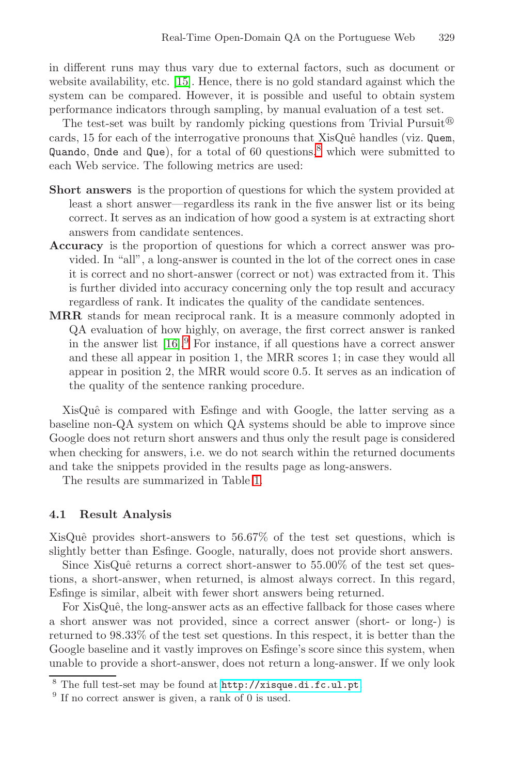in different runs may thus vary due to external factors, such as document or website availability, etc. [15]. Hence, there is no gold standard against which the system can be compared. However, it is possible and useful to obtain system performance indicators through sampling, by manual evaluation of a test set.

The test-set was built by randomly picking questions from Trivial Pursuit<sup>®</sup> cards, 15 for each of the interrogative pronouns that XisQuê handles (viz. Quem, Quando, Onde and Que), for a total of 60 questions,<sup>8</sup> which were submitted to each Web service. The following metrics are used:

- **Short answers** is the proportion of questions for which the system provided at least a short answer—regardless its rank in the five answer list or its being correct. It serves as an indication of how good a system is at extracting short [ans](#page-9-11)[w](#page-7-1)ers from candidate sentences.
- **Accuracy** is the proportion of questions for which a correct answer was provided. In "all", a long-answer is counted in the lot of the correct ones in case it is correct and no short-answer (correct or not) was extracted from it. This is further divided into accuracy concerning only the top result and accuracy regardless of rank. It indicates the quality of the candidate sentences.
- **MRR** stands for mean reciprocal rank. It is a measure commonly adopted in QA evaluation of how highly, on average, the first correct answer is ranked in the answer list  $[16]$ <sup>9</sup>. For instance, if all questions have a correct answer and these all appear in position 1, the MRR scores 1; in case they would all appear in positio[n](#page-8-1) 2, the MRR would score 0.5. It serves as an indication of the quality of the sentence ranking procedure.

XisQuê is compared with Esfinge and with Google, the latter serving as a baseline non-QA system on which QA systems should be able to improve since Google does not return short answers and thus only the result page is considered when checking for answers, i.e. we do not search within the returned documents and take the snippets provided in the results page as long-answers.

The results are summarized in Table 1.

## **4.1 Result Analysis**

 $XisQuê$  provides short-answers to  $56.67\%$  of the test set questions, which is slightly better than Esfinge. Google, naturally, does not provide short answers.

Since XisQuê returns a correct short-answer to  $55.00\%$  of the test set questions, a short-[answer, when returned, is a](http://xisque.di.fc.ul.pt)lmost always correct. In this regard, Esfinge is similar, albeit with fewer short answers being returned.

<span id="page-7-1"></span><span id="page-7-0"></span>For XisQuê, the long-answer acts as an effective fallback for those cases where a short answer was not provided, since a correct answer (short- or long-) is returned to 98.33% of the test set questions. In this respect, it is better than the Google baseline and it vastly improves on Esfinge's score since this system, when unable to provide a short-answer, does not return a long-answer. If we only look

<sup>8</sup> The full test-set may be found at http://xisque.di.fc.ul.pt.

 $9$  If no correct answer is given, a rank of 0 is used.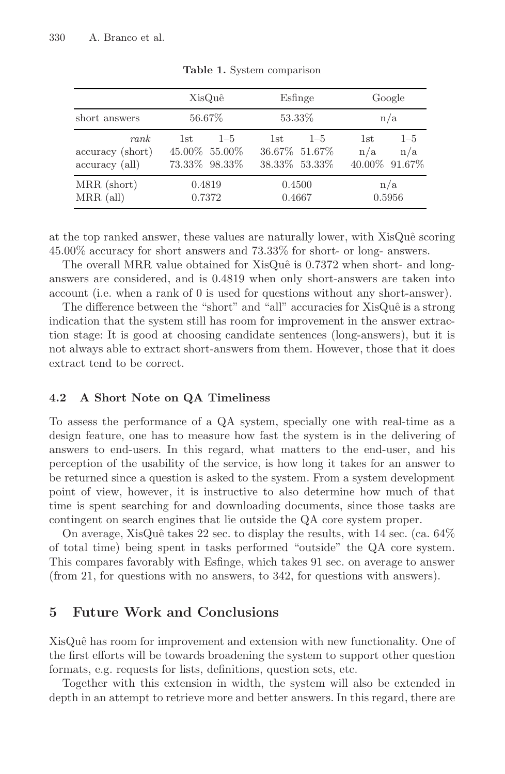|                                            | XisQuê                                           | Esfinge                                          | Google                                        |
|--------------------------------------------|--------------------------------------------------|--------------------------------------------------|-----------------------------------------------|
| short answers                              | 56.67%                                           | 53.33%                                           | n/a                                           |
| rank<br>accuracy (short)<br>accuracy (all) | $1 - 5$<br>1st<br>45.00% 55.00%<br>73.33% 98.33% | 1st<br>$1 - 5$<br>36.67% 51.67%<br>38.33% 53.33% | $1 - 5$<br>1st<br>n/a<br>n/a<br>40.00% 91.67% |
| MRR (short)<br>$MRR$ (all)                 | 0.4819<br>0.7372                                 | 0.4500<br>0.4667                                 | n/a<br>0.5956                                 |

<span id="page-8-1"></span>**Table 1.** System comparison

at the top ranked answer, these values are naturally lower, with  $XisQuê scoring$ 45.00% accuracy for short answers and 73.33% for short- or long- answers.

The overall MRR value obtained for  $XisQuê$  is 0.7372 when short- and longanswers are considered, and is 0.4819 when only short-answers are taken into account (i.e. when a rank of 0 is used for questions without any short-answer).

The difference between the "short" and "all" accuracies for XisQuê is a strong indication that the system still has room for improvement in the answer extraction stage: It is good at choosing candidate sentences (long-answers), but it is not always able to extract short-answers from them. However, those that it does extract tend to be correct.

## **4.2 A Short Note on QA Timeliness**

To assess the performance of a QA system, specially one with real-time as a design feature, one has to measure how fast the system is in the delivering of answers to end-users. In this regard, what matters to the end-user, and his perception of the usability of the service, is how long it takes for an answer to be returned since a question is asked to the system. From a system development point of view, however, it is instructive to also determine how much of that time is spent searching for and downloading documents, since those tasks are contingent on search engines that lie outside the QA core system proper.

On average, XisQuê takes 22 sec. to display the results, with  $14$  sec. (ca.  $64\%$ ) of total time) being spent in tasks performed "outside" the QA core system. This compares favorably with Esfinge, which takes 91 sec. on average to answer (from 21, for questions with no answers, to 342, for questions with answers).

# <span id="page-8-0"></span>**5 Future Work and Conclusions**

XisQuê has room for improvement and extension with new functionality. One of the first efforts will be towards broadening the system to support other question formats, e.g. requests for lists, definitions, question sets, etc.

Together with this extension in width, the system will also be extended in depth in an attempt to retrieve more and better answers. In this regard, there are